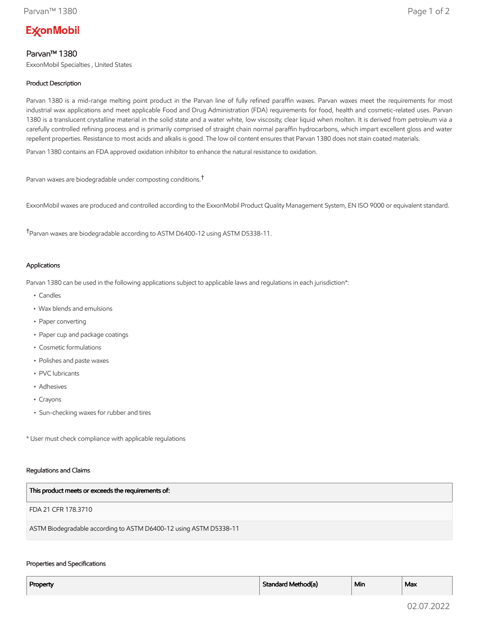# **ExconMobil**

## Parvan™ 1380

ExxonMobil Specialties , United States

## Product Description

Parvan 1380 is a mid-range melting point product in the Parvan line of fully refined paraffin waxes. Parvan waxes meet the requirements for most industrial wax applications and meet applicable Food and Drug Administration (FDA) requirements for food, health and cosmetic-related uses. Parvan 1380 is a translucent crystalline material in the solid state and a water white, low viscosity, clear liquid when molten. It is derived from petroleum via a carefully controlled refining process and is primarily comprised of straight chain normal paraffin hydrocarbons, which impart excellent gloss and water repellent properties. Resistance to most acids and alkalis is good. The low oil content ensures that Parvan 1380 does not stain coated materials.

Parvan 1380 contains an FDA approved oxidation inhibitor to enhance the natural resistance to oxidation.

Parvan waxes are biodegradable under composting conditions.†

ExxonMobil waxes are produced and controlled according to the ExxonMobil Product Quality Management System, EN ISO 9000 or equivalent standard.

†Parvan waxes are biodegradable according to ASTM D6400-12 using ASTM D5338-11.

### Applications

Parvan 1380 can be used in the following applications subject to applicable laws and regulations in each jurisdiction\*:

- Candles
- Wax blends and emulsions
- Paper converting
- Paper cup and package coatings
- Cosmetic formulations
- Polishes and paste waxes
- PVC lubricants
- Adhesives
- Crayons
- Sun-checking waxes for rubber and tires

\* User must check compliance with applicable regulations

#### Regulations and Claims

| This product meets or exceeds the requirements of:                |
|-------------------------------------------------------------------|
| FDA 21 CFR 178.3710                                               |
| ASTM Biodegradable according to ASTM D6400-12 using ASTM D5338-11 |

#### Properties and Specifications

| Property | Standard Method(a) | ` Min | Max |
|----------|--------------------|-------|-----|
|          |                    |       |     |